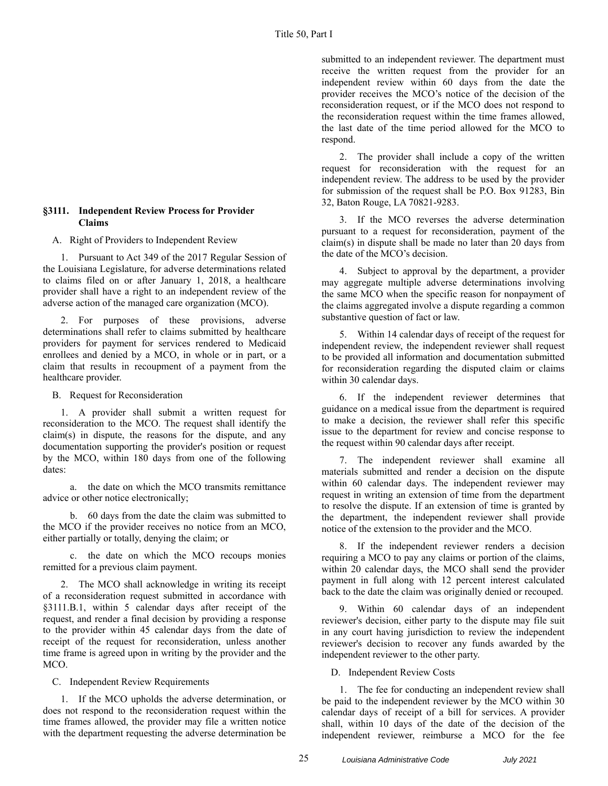receive the written request from the provider for an independent review within 60 days from the date the provider receives the MCO's notice of the decision of the reconsideration request, or if the MCO does not respond to the reconsideration request within the time frames allowed, the last date of the time period allowed for the MCO to respond.

submitted to an independent reviewer. The department must

2. The provider shall include a copy of the written request for reconsideration with the request for an independent review. The address to be used by the provider for submission of the request shall be P.O. Box 91283, Bin 32, Baton Rouge, LA 70821-9283.

3. If the MCO reverses the adverse determination pursuant to a request for reconsideration, payment of the claim(s) in dispute shall be made no later than 20 days from the date of the MCO's decision.

4. Subject to approval by the department, a provider may aggregate multiple adverse determinations involving the same MCO when the specific reason for nonpayment of the claims aggregated involve a dispute regarding a common substantive question of fact or law.

5. Within 14 calendar days of receipt of the request for independent review, the independent reviewer shall request to be provided all information and documentation submitted for reconsideration regarding the disputed claim or claims within 30 calendar days.

6. If the independent reviewer determines that guidance on a medical issue from the department is required to make a decision, the reviewer shall refer this specific issue to the department for review and concise response to the request within 90 calendar days after receipt.

7. The independent reviewer shall examine all materials submitted and render a decision on the dispute within 60 calendar days. The independent reviewer may request in writing an extension of time from the department to resolve the dispute. If an extension of time is granted by the department, the independent reviewer shall provide notice of the extension to the provider and the MCO.

8. If the independent reviewer renders a decision requiring a MCO to pay any claims or portion of the claims, within 20 calendar days, the MCO shall send the provider payment in full along with 12 percent interest calculated back to the date the claim was originally denied or recouped.

9. Within 60 calendar days of an independent reviewer's decision, either party to the dispute may file suit in any court having jurisdiction to review the independent reviewer's decision to recover any funds awarded by the independent reviewer to the other party.

D. Independent Review Costs

1. The fee for conducting an independent review shall be paid to the independent reviewer by the MCO within 30 calendar days of receipt of a bill for services. A provider shall, within 10 days of the date of the decision of the independent reviewer, reimburse a MCO for the fee

## **§3111. Independent Review Process for Provider Claims**

A. Right of Providers to Independent Review

1. Pursuant to Act 349 of the 2017 Regular Session of the Louisiana Legislature, for adverse determinations related to claims filed on or after January 1, 2018, a healthcare provider shall have a right to an independent review of the adverse action of the managed care organization (MCO).

2. For purposes of these provisions, adverse determinations shall refer to claims submitted by healthcare providers for payment for services rendered to Medicaid enrollees and denied by a MCO, in whole or in part, or a claim that results in recoupment of a payment from the healthcare provider.

B. Request for Reconsideration

1. A provider shall submit a written request for reconsideration to the MCO. The request shall identify the claim(s) in dispute, the reasons for the dispute, and any documentation supporting the provider's position or request by the MCO, within 180 days from one of the following dates:

a. the date on which the MCO transmits remittance advice or other notice electronically;

b. 60 days from the date the claim was submitted to the MCO if the provider receives no notice from an MCO, either partially or totally, denying the claim; or

c. the date on which the MCO recoups monies remitted for a previous claim payment.

2. The MCO shall acknowledge in writing its receipt of a reconsideration request submitted in accordance with §3111.B.1, within 5 calendar days after receipt of the request, and render a final decision by providing a response to the provider within 45 calendar days from the date of receipt of the request for reconsideration, unless another time frame is agreed upon in writing by the provider and the MCO.

C. Independent Review Requirements

1. If the MCO upholds the adverse determination, or does not respond to the reconsideration request within the time frames allowed, the provider may file a written notice with the department requesting the adverse determination be